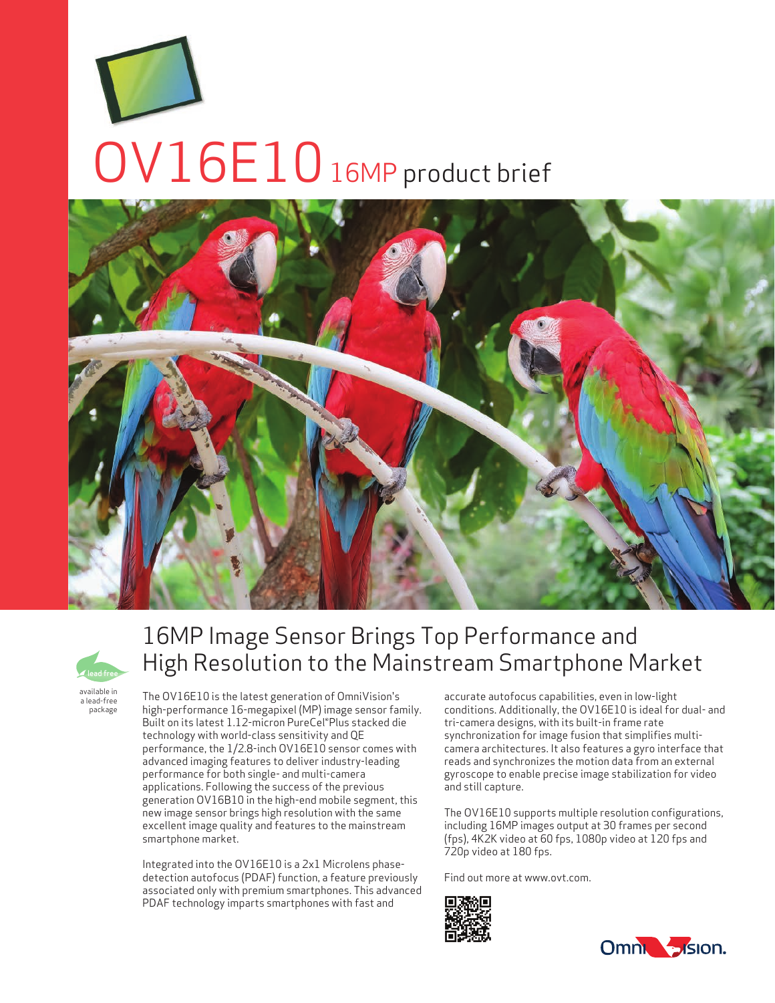# OV16E10 16MP product brief





# 16MP Image Sensor Brings Top Performance and High Resolution to the Mainstream Smartphone Market

available in a lead-free package

The OV16E10 is the latest generation of OmniVision's high-performance 16-megapixel (MP) image sensor family. Built on its latest 1.12-micron PureCel®Plus stacked die technology with world-class sensitivity and QE performance, the 1/2.8-inch OV16E10 sensor comes with advanced imaging features to deliver industry-leading performance for both single- and multi-camera applications. Following the success of the previous generation OV16B10 in the high-end mobile segment, this new image sensor brings high resolution with the same excellent image quality and features to the mainstream smartphone market.

Integrated into the OV16E10 is a 2x1 Microlens phasedetection autofocus (PDAF) function, a feature previously associated only with premium smartphones. This advanced PDAF technology imparts smartphones with fast and

accurate autofocus capabilities, even in low-light conditions. Additionally, the OV16E10 is ideal for dual- and tri-camera designs, with its built-in frame rate synchronization for image fusion that simplifies multicamera architectures. It also features a gyro interface that reads and synchronizes the motion data from an external gyroscope to enable precise image stabilization for video and still capture.

The OV16E10 supports multiple resolution configurations, including 16MP images output at 30 frames per second (fps), 4K2K video at 60 fps, 1080p video at 120 fps and 720p video at 180 fps.

Find out more at www.ovt.com.